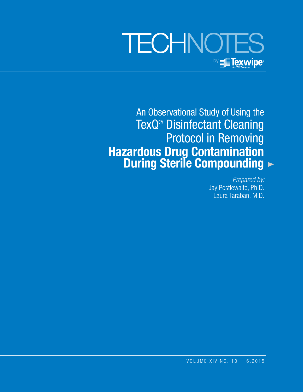# **TECHNOTES** by **Fig. Texwipe**

An Observational Study of Using the TexQ® Disinfectant Cleaning Protocol in Removing  **Hazardous Drug Contamination During Sterile Compounding**

> *Prepared by:* Jay Postlewaite, Ph.D. Laura Taraban, M.D.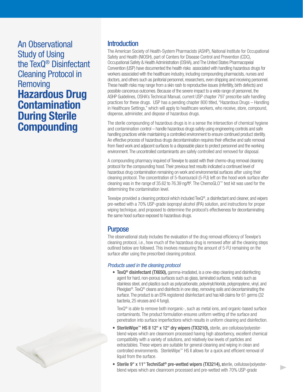An Observational Study of Using the TexQ® Disinfectant Cleaning Protocol in **Removing Hazardous Drug Contamination During Sterile Compounding**

## **Introduction**

The American Society of Health-System Pharmacists (ASHP), National Institute for Occupational Safety and Health (NIOSH), part of Centers for Disease Control and Prevention (CDC), Occupational Safety & Health Administration (OSHA), and The United States Pharmacopeial Convention (USP) have documented the health risks associated with handling hazardous drugs for workers associated with the healthcare industry, including compounding pharmacists, nurses and doctors, and others such as janitorial personnel, researchers, even shipping and receiving personnel. These health risks may range from a skin rash to reproductive issues (infertility, birth defects) and possible cancerous outcomes. Because of the severe impact to a wide range of personnel, the ASHP Guidelines, OSHA's Technical Manual, current USP chapter 797 prescribe safe handling practices for these drugs. USP has a pending chapter 800 titled, "Hazardous Drugs – Handling in Healthcare Settings," which will apply to healthcare workers, who receive, store, compound, dispense, administer, and dispose of hazardous drugs.

The sterile compounding of hazardous drugs is in a sense the intersection of chemical hygiene and contamination control – handle hazardous drugs safely using engineering controls and safe handling practices while maintaining a controlled environment to ensure continued product sterility. An effective process of hazardous drugs decontamination requires their effective and safe removal from fixed work and adjacent surfaces to a disposable place to protect personnel and the working environment. The uncontrolled contaminants are safely controlled and removed for disposal.

A compounding pharmacy inquired of Texwipe to assist with their chemo-drug removal cleaning protocol for the compounding hood. Their previous test results indicated a continued level of hazardous drug contamination remaining on work and environmental surfaces after using their cleaning protocol. The concentration of 5-fluorouracil (5-FU) left on the hood work surface after cleaning was in the range of 35.62 to 76.39 ng/ft². The ChemoGLO™ test kit was used for the determining the contamination level.

Texwipe provided a cleaning protocol which included TexQ®, a disinfectant and cleaner, and wipers pre-wetted with a 70% USP-grade isopropyl alcohol (IPA) solution, and instructions for proper wiping technique, and proposed to determine the protocol's effectiveness for decontaminating the same hood surface exposed to hazardous drugs.

# **Purpose**

The observational study includes the evaluation of the drug removal efficiency of Texwipe's cleaning protocol, i.e., how much of the hazardous drug is removed after all the cleaning steps outlined below are followed. This involves measuring the amount of 5-FU remaining on the surface after using the prescribed cleaning protocol.

## *Products used in the cleaning protocol*

• TexQ<sup>®</sup> disinfectant (TX650), gamma-irradiated, is a one-step cleaning and disinfecting agent for hard, non-porous surfaces such as glass, laminated surfaces, metals such as stainless steel, and plastics such as polycarbonate, polyvinylchloride, polypropylene, vinyl, and Plexiglas<sup>®</sup>. TexQ<sup>®</sup> cleans and disinfects in one step, removing soils and decontaminating the surface. The product is an EPA registered disinfectant and has kill claims for 61 germs (32 bacteria, 25 viruses and 4 fungi).

TexQ® is able to remove both inorganic-, such as metal ions, and organic-based surface contaminants. The product formulation ensures uniform wetting of the surface and penetration into surface imperfections which results in uniform cleaning and disinfection.

- SterileWipe™ HS II 12" x 12" dry wipers (TX3210), sterile, are cellulose/polyesterblend wipes which are cleanroom processed having high absorbency, excellent chemical compatibility with a variety of solutions, and relatively low levels of particles and extractables. These wipers are suitable for general cleaning and wiping in clean and controlled environments. SterileWipe™ HS II allows for a quick and efficient removal of liquid from the surface.
- Sterile 9" x 11" TechniSat<sup>®</sup> pre-wetted wipers (TX3214), sterile, cellulose/polyesterblend wipes which are cleanroom processed and pre-wetted with 70% USP-grade

h.

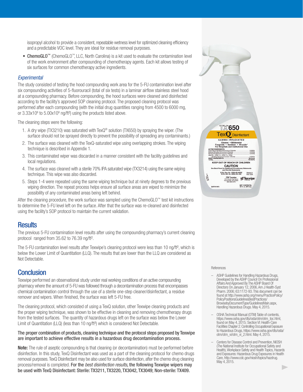isopropyl alcohol to provide a consistent, repeatable wetness level for optimized cleaning efficiency and a predictable VOC level. They are ideal for residue removal purposes.

• ChemoGLO™ (ChemoGLO™, LLC, North Carolina) is a kit used to evaluate the contamination level of the work environment after compounding of chemotherapy agents. Each kit allows testing of six surfaces for common chemotherapy active ingredients.

### *Experimental*

The study consisted of testing the hood compounding work area for the 5-FU contamination level after six compounding activities of 5-fluorouracil (total of six tests) in a laminar airflow stainless steel hood at a compounding pharmacy. Before compounding, the hood surfaces were cleaned and disinfected according to the facility's approved SOP cleaning protocol. The proposed cleaning protocol was performed after each compounding (with the initial drug quantities ranging from 4500 to 6000 mg, or  $3.33x10<sup>8</sup>$  to  $5.00x10<sup>8</sup>$  ng/ft<sup>2</sup>) using the products listed above.

The cleaning steps were the following:

- 1. A dry wipe (TX3210) was saturated with TexQ® solution (TX650) by spraying the wiper. (The surface should not be sprayed directly to prevent the possibility of spreading any contaminants.)
- 2. The surface was cleaned with the TexQ-saturated wipe using overlapping strokes. The wiping technique is described in Appendix 1.
- 3. This contaminated wiper was discarded in a manner consistent with the facility guidelines and local regulations.
- 4. The surface was cleaned with a sterile 70% IPA saturated wipe (TX3214) using the same wiping technique. This wipe was also discarded.
- 5. Steps 1-4 were repeated using the same wiping technique but at ninety degrees to the previous wiping direction. The repeat process helps ensure all surface areas are wiped to minimize the possibility of any contaminated areas being left behind.

After the cleaning procedure, the work surface was sampled using the ChemoGLO™ test kit instructions to determine the 5-FU level left on the surface. After that the surface was re-cleaned and disinfected using the facility's SOP protocol to maintain the current validation.

## **Results**

The previous 5-FU contamination level results after using the compounding pharmacy's current cleaning protocol ranged from 35.62 to 76.39 ng/ft².

The 5-FU contamination level results after Texwipe's cleaning protocol were less than 10 ng/ft<sup>2</sup>, which is below the Lower Limit of Quantitation (LLQ). The results that are lower than the LLQ are considered as Not Detectable.

## **Conclusion**

Texwipe performed an observational study under real working conditions of an active compounding pharmacy where the amount of 5-FU was followed through a decontamination process that encompasses chemical contamination control through the use of a sterile one-step cleaner/disinfectant, a residue remover and wipers. When finished, the surface was left 5-FU free.

The cleaning protocol, which consisted of using a TexQ solution, other Texwipe cleaning products and the proper wiping technique, was shown to be effective in cleaning and removing chemotherapy drugs from the tested surfaces. The quantity of hazardous drugs left on the surface was below the Lower Limit of Quantitation (LLQ) (less than 10 ng/ft²) which is considered Not Detectable.

#### The proper combination of products, cleaning technique and the protocol steps proposed by Texwipe are important to achieve effective results in a hazardous drug decontamination process.

**Note:** The rule of aseptic compounding is that cleaning (or decontamination) must be performed before disinfection. In this study, TexQ Disinfectant was used as a part of the cleaning protocol for chemo drugs removal purposes. TexQ Disinfectant may be also used for surface disinfection, after the chemo drug cleaning process/removal is completed. For the *best disinfection results*, the following Texwipe wipers may be used with TexQ Disinfectant: Sterile: TX3211, TX3220, TX3042, TX3049; Non-sterile: TX409.



#### **References**

- ASHP Guidelines for Handling Hazardous Drugs, Developed by the ASHP Council On Professional Affairs And Approved By The ASHP Board Of Directors On January 12, 2006, Am J Health-Syst Pharm. 2006; 63:1172-93. This document can be found at http://www.ashp.org/menu/PracticePolicy/ PolicyPositionsGuidelinesBestPractices/ BrowsebyDocumentType/GuidelinesMain.aspx, Handling Hazardous Drugs. May 4, 2015.
- OSHA Technical Manual (OTM) Table of contents, https://www.osha.gov/dts/osta/otm/otm\_toc.html, found on May 4, 2015; Section VI: Health-Care Facilities Chapter 2. Controlling Occupational Exposure to Hazardous Drugs, https://www.osha.gov/dts/osta/ otm/otm\_vi/otm\_vi\_2.html. May 4, 2015.
- Centers for Disease Control and Prevention, NIOSH (The National Institute for Occupational Safety and Health), Workplace Safety and Health Topics, Hazards and Exposures: Hazardous Drug Exposures in Health Care, http://www.cdc.gov/niosh/topics/hazdrug. May 4, 2015.